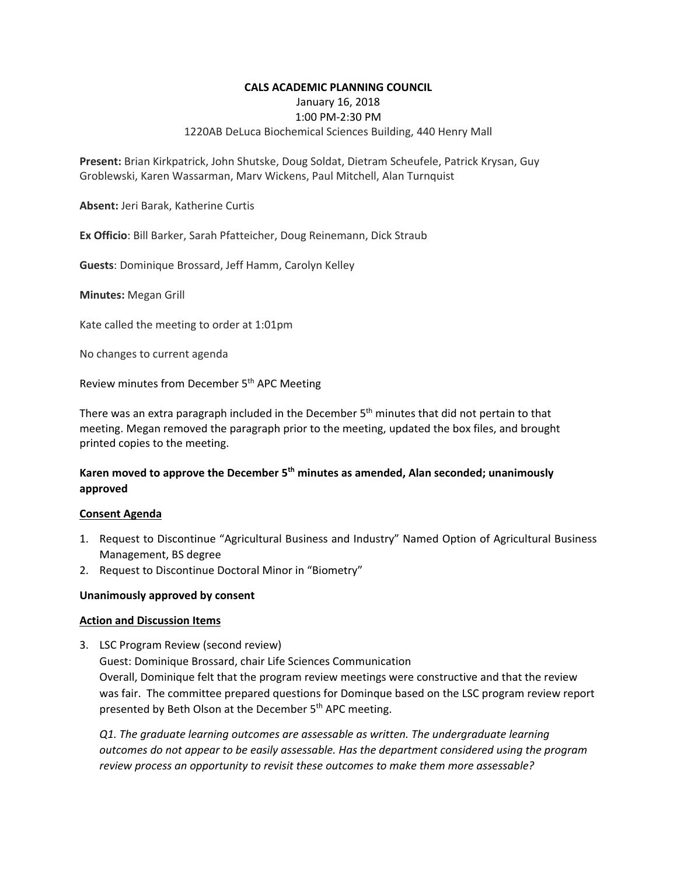#### **CALS ACADEMIC PLANNING COUNCIL**

January 16, 2018

#### 1:00 PM‐2:30 PM

### 1220AB DeLuca Biochemical Sciences Building, 440 Henry Mall

**Present:** Brian Kirkpatrick, John Shutske, Doug Soldat, Dietram Scheufele, Patrick Krysan, Guy Groblewski, Karen Wassarman, Marv Wickens, Paul Mitchell, Alan Turnquist

**Absent:** Jeri Barak, Katherine Curtis

**Ex Officio**: Bill Barker, Sarah Pfatteicher, Doug Reinemann, Dick Straub

**Guests**: Dominique Brossard, Jeff Hamm, Carolyn Kelley

**Minutes:** Megan Grill

Kate called the meeting to order at 1:01pm

No changes to current agenda

Review minutes from December 5<sup>th</sup> APC Meeting

There was an extra paragraph included in the December  $5<sup>th</sup>$  minutes that did not pertain to that meeting. Megan removed the paragraph prior to the meeting, updated the box files, and brought printed copies to the meeting.

## **Karen moved to approve the December 5th minutes as amended, Alan seconded; unanimously approved**

#### **Consent Agenda**

- 1. Request to Discontinue "Agricultural Business and Industry" Named Option of Agricultural Business Management, BS degree
- 2. Request to Discontinue Doctoral Minor in "Biometry"

### **Unanimously approved by consent**

#### **Action and Discussion Items**

3. LSC Program Review (second review) Guest: Dominique Brossard, chair Life Sciences Communication Overall, Dominique felt that the program review meetings were constructive and that the review was fair. The committee prepared questions for Dominque based on the LSC program review report presented by Beth Olson at the December 5<sup>th</sup> APC meeting.

*Q1. The graduate learning outcomes are assessable as written. The undergraduate learning outcomes do not appear to be easily assessable. Has the department considered using the program review process an opportunity to revisit these outcomes to make them more assessable?*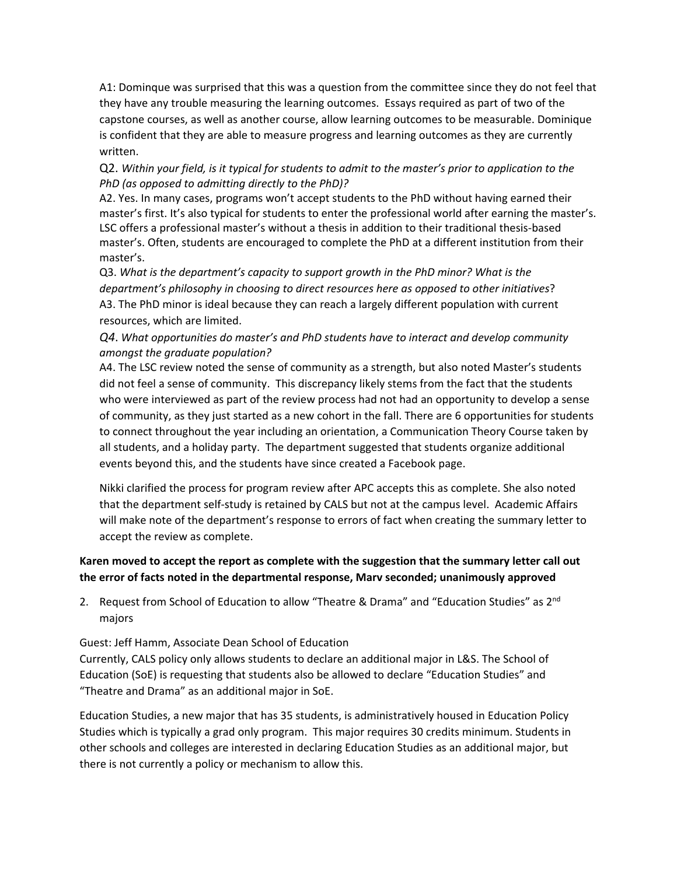A1: Dominque was surprised that this was a question from the committee since they do not feel that they have any trouble measuring the learning outcomes. Essays required as part of two of the capstone courses, as well as another course, allow learning outcomes to be measurable. Dominique is confident that they are able to measure progress and learning outcomes as they are currently written.

Q2. *Within your field, is it typical for students to admit to the master's prior to application to the PhD (as opposed to admitting directly to the PhD)?*

A2. Yes. In many cases, programs won't accept students to the PhD without having earned their master's first. It's also typical for students to enter the professional world after earning the master's. LSC offers a professional master's without a thesis in addition to their traditional thesis‐based master's. Often, students are encouraged to complete the PhD at a different institution from their master's.

Q3. *What is the department's capacity to support growth in the PhD minor? What is the department's philosophy in choosing to direct resources here as opposed to other initiatives*? A3. The PhD minor is ideal because they can reach a largely different population with current resources, which are limited.

*Q4*. *What opportunities do master's and PhD students have to interact and develop community amongst the graduate population?*

A4. The LSC review noted the sense of community as a strength, but also noted Master's students did not feel a sense of community. This discrepancy likely stems from the fact that the students who were interviewed as part of the review process had not had an opportunity to develop a sense of community, as they just started as a new cohort in the fall. There are 6 opportunities for students to connect throughout the year including an orientation, a Communication Theory Course taken by all students, and a holiday party. The department suggested that students organize additional events beyond this, and the students have since created a Facebook page.

Nikki clarified the process for program review after APC accepts this as complete. She also noted that the department self‐study is retained by CALS but not at the campus level. Academic Affairs will make note of the department's response to errors of fact when creating the summary letter to accept the review as complete.

## **Karen moved to accept the report as complete with the suggestion that the summary letter call out the error of facts noted in the departmental response, Marv seconded; unanimously approved**

2. Request from School of Education to allow "Theatre & Drama" and "Education Studies" as 2<sup>nd</sup> majors

Guest: Jeff Hamm, Associate Dean School of Education

Currently, CALS policy only allows students to declare an additional major in L&S. The School of Education (SoE) is requesting that students also be allowed to declare "Education Studies" and "Theatre and Drama" as an additional major in SoE.

Education Studies, a new major that has 35 students, is administratively housed in Education Policy Studies which is typically a grad only program. This major requires 30 credits minimum. Students in other schools and colleges are interested in declaring Education Studies as an additional major, but there is not currently a policy or mechanism to allow this.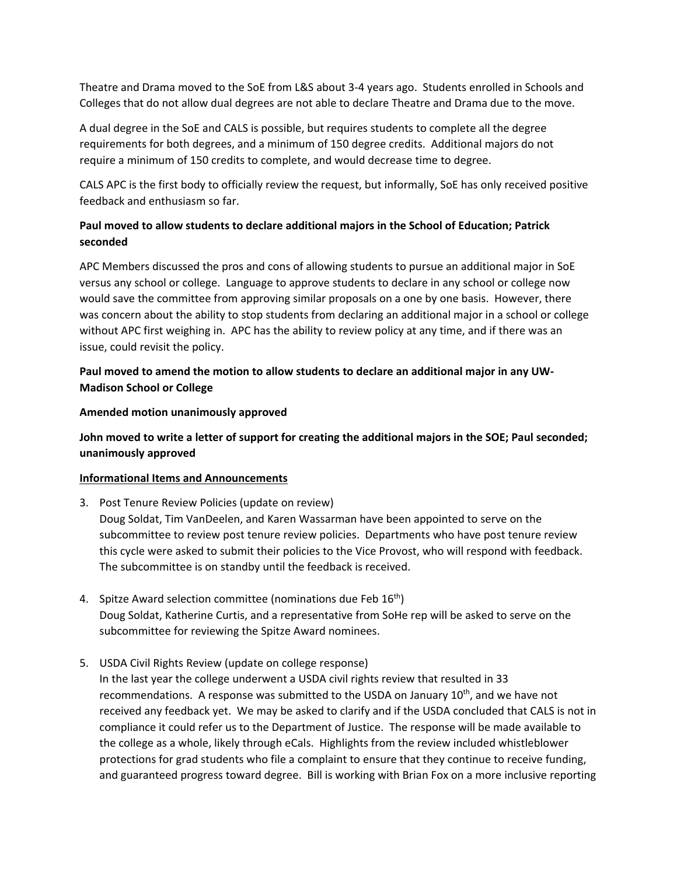Theatre and Drama moved to the SoE from L&S about 3‐4 years ago. Students enrolled in Schools and Colleges that do not allow dual degrees are not able to declare Theatre and Drama due to the move.

A dual degree in the SoE and CALS is possible, but requires students to complete all the degree requirements for both degrees, and a minimum of 150 degree credits. Additional majors do not require a minimum of 150 credits to complete, and would decrease time to degree.

CALS APC is the first body to officially review the request, but informally, SoE has only received positive feedback and enthusiasm so far.

# **Paul moved to allow students to declare additional majors in the School of Education; Patrick seconded**

APC Members discussed the pros and cons of allowing students to pursue an additional major in SoE versus any school or college. Language to approve students to declare in any school or college now would save the committee from approving similar proposals on a one by one basis. However, there was concern about the ability to stop students from declaring an additional major in a school or college without APC first weighing in. APC has the ability to review policy at any time, and if there was an issue, could revisit the policy.

## **Paul moved to amend the motion to allow students to declare an additional major in any UW‐ Madison School or College**

### **Amended motion unanimously approved**

**John moved to write a letter of support for creating the additional majors in the SOE; Paul seconded; unanimously approved** 

### **Informational Items and Announcements**

- 3. Post Tenure Review Policies (update on review) Doug Soldat, Tim VanDeelen, and Karen Wassarman have been appointed to serve on the subcommittee to review post tenure review policies. Departments who have post tenure review this cycle were asked to submit their policies to the Vice Provost, who will respond with feedback. The subcommittee is on standby until the feedback is received.
- 4. Spitze Award selection committee (nominations due Feb  $16<sup>th</sup>$ ) Doug Soldat, Katherine Curtis, and a representative from SoHe rep will be asked to serve on the subcommittee for reviewing the Spitze Award nominees.
- 5. USDA Civil Rights Review (update on college response)

In the last year the college underwent a USDA civil rights review that resulted in 33 recommendations. A response was submitted to the USDA on January  $10<sup>th</sup>$ , and we have not received any feedback yet. We may be asked to clarify and if the USDA concluded that CALS is not in compliance it could refer us to the Department of Justice. The response will be made available to the college as a whole, likely through eCals. Highlights from the review included whistleblower protections for grad students who file a complaint to ensure that they continue to receive funding, and guaranteed progress toward degree. Bill is working with Brian Fox on a more inclusive reporting